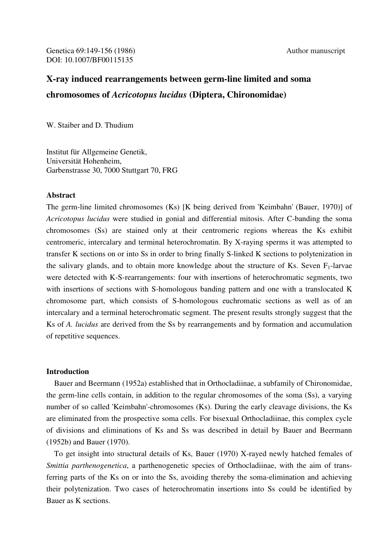# **X-ray induced rearrangements between germ-line limited and soma chromosomes of** *Acricotopus lucidus* **(Diptera, Chironomidae)**

W. Staiber and D. Thudium

Institut für Allgemeine Genetik, Universität Hohenheim, Garbenstrasse 30, 7000 Stuttgart 70, FRG

## **Abstract**

The germ-line limited chromosomes (Ks) [K being derived from 'Keimbahn' (Bauer, 1970)] of *Acricotopus lucidus* were studied in gonial and differential mitosis. After C-banding the soma chromosomes (Ss) are stained only at their centromeric regions whereas the Ks exhibit centromeric, intercalary and terminal heterochromatin. By X-raying sperms it was attempted to transfer K sections on or into Ss in order to bring finally S-linked K sections to polytenization in the salivary glands, and to obtain more knowledge about the structure of Ks. Seven  $F_1$ -larvae were detected with K-S-rearrangements: four with insertions of heterochromatic segments, two with insertions of sections with S-homologous banding pattern and one with a translocated K chromosome part, which consists of S-homologous euchromatic sections as well as of an intercalary and a terminal heterochromatic segment. The present results strongly suggest that the Ks of *A. lucidus* are derived from the Ss by rearrangements and by formation and accumulation of repetitive sequences.

# **Introduction**

 Bauer and Beermann (1952a) established that in Orthocladiinae, a subfamily of Chironomidae, the germ-line cells contain, in addition to the regular chromosomes of the soma (Ss), a varying number of so called 'Keimbahn'-chromosomes (Ks). During the early cleavage divisions, the Ks are eliminated from the prospective soma cells. For bisexual Orthocladiinae, this complex cycle of divisions and eliminations of Ks and Ss was described in detail by Bauer and Beermann (1952b) and Bauer (1970).

 To get insight into structural details of Ks, Bauer (1970) X-rayed newly hatched females of *Smittia parthenogenetica*, a parthenogenetic species of Orthocladiinae, with the aim of transferring parts of the Ks on or into the Ss, avoiding thereby the soma-elimination and achieving their polytenization. Two cases of heterochromatin insertions into Ss could be identified by Bauer as K sections.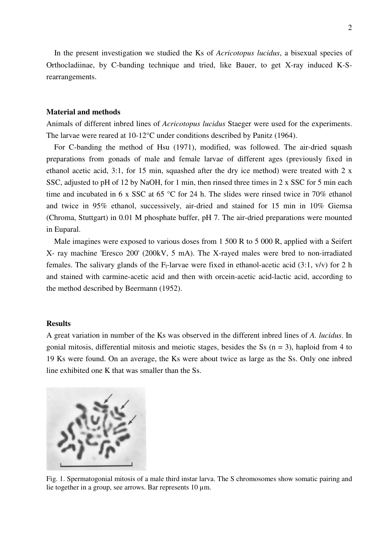In the present investigation we studied the Ks of *Acricotopus lucidus*, a bisexual species of Orthocladiinae, by C-banding technique and tried, like Bauer, to get X-ray induced K-Srearrangements.

# **Material and methods**

Animals of different inbred lines of *Acricotopus lucidus* Staeger were used for the experiments. The larvae were reared at 10-12°C under conditions described by Panitz (1964).

 For C-banding the method of Hsu (1971), modified, was followed. The air-dried squash preparations from gonads of male and female larvae of different ages (previously fixed in ethanol acetic acid, 3:1, for 15 min, squashed after the dry ice method) were treated with 2 x SSC, adjusted to pH of 12 by NaOH, for 1 min, then rinsed three times in 2 x SSC for 5 min each time and incubated in 6 x SSC at 65 °C for 24 h. The slides were rinsed twice in 70% ethanol and twice in 95% ethanol, successively, air-dried and stained for 15 min in 10% Giemsa (Chroma, Stuttgart) in 0.01 M phosphate buffer, pH 7. The air-dried preparations were mounted in Euparal.

Male imagines were exposed to various doses from 1 500 R to 5 000 R, applied with a Seifert X- ray machine 'Eresco 200' (200kV, 5 mA). The X-rayed males were bred to non-irradiated females. The salivary glands of the F<sub>1</sub>-larvae were fixed in ethanol-acetic acid (3:1, v/v) for 2 h and stained with carmine-acetic acid and then with orcein-acetic acid-lactic acid, according to the method described by Beermann (1952).

#### **Results**

A great variation in number of the Ks was observed in the different inbred lines of *A. lucidus*. In gonial mitosis, differential mitosis and meiotic stages, besides the Ss  $(n = 3)$ , haploid from 4 to 19 Ks were found. On an average, the Ks were about twice as large as the Ss. Only one inbred line exhibited one K that was smaller than the Ss.



Fig. 1. Spermatogonial mitosis of a male third instar larva. The S chromosomes show somatic pairing and lie together in a group, see arrows. Bar represents 10 µm.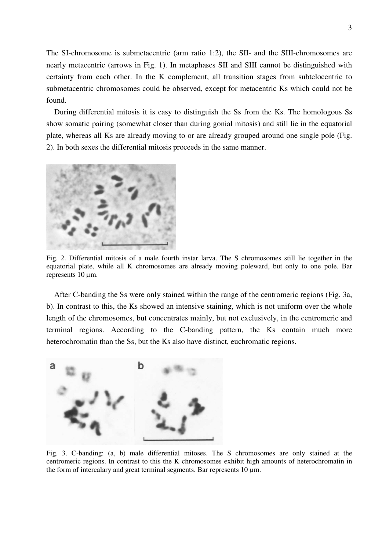The SI-chromosome is submetacentric (arm ratio 1:2), the SII- and the SIII-chromosomes are nearly metacentric (arrows in Fig. 1). In metaphases SII and SIII cannot be distinguished with certainty from each other. In the K complement, all transition stages from subtelocentric to submetacentric chromosomes could be observed, except for metacentric Ks which could not be found.

 During differential mitosis it is easy to distinguish the Ss from the Ks. The homologous Ss show somatic pairing (somewhat closer than during gonial mitosis) and still lie in the equatorial plate, whereas all Ks are already moving to or are already grouped around one single pole (Fig. 2). In both sexes the differential mitosis proceeds in the same manner.



Fig. 2. Differential mitosis of a male fourth instar larva. The S chromosomes still lie together in the equatorial plate, while all K chromosomes are already moving poleward, but only to one pole. Bar represents 10  $\mu$ m.

 After C-banding the Ss were only stained within the range of the centromeric regions (Fig. 3a, b). In contrast to this, the Ks showed an intensive staining, which is not uniform over the whole length of the chromosomes, but concentrates mainly, but not exclusively, in the centromeric and terminal regions. According to the C-banding pattern, the Ks contain much more heterochromatin than the Ss, but the Ks also have distinct, euchromatic regions.



Fig. 3. C-banding: (a, b) male differential mitoses. The S chromosomes are only stained at the centromeric regions. In contrast to this the K chromosomes exhibit high amounts of heterochromatin in the form of intercalary and great terminal segments. Bar represents  $10 \mu m$ .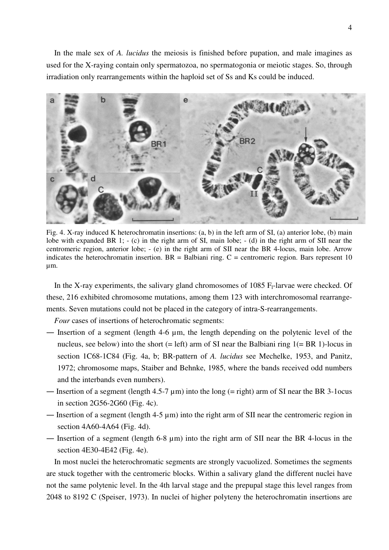In the male sex of *A. lucidus* the meiosis is finished before pupation, and male imagines as used for the X-raying contain only spermatozoa, no spermatogonia or meiotic stages. So, through irradiation only rearrangements within the haploid set of Ss and Ks could be induced.



Fig. 4. X-ray induced K heterochromatin insertions: (a, b) in the left arm of SI, (a) anterior lobe, (b) main lobe with expanded BR 1; - (c) in the right arm of SI, main lobe; - (d) in the right arm of SII near the centromeric region, anterior lobe; - (e) in the right arm of SII near the BR 4-locus, main lobe. Arrow indicates the heterochromatin insertion.  $BR = Balbiani ring$ .  $C =$  centromeric region. Bars represent 10 µm.

In the X-ray experiments, the salivary gland chromosomes of  $1085$  F<sub>1</sub>-larvae were checked. Of these, 216 exhibited chromosome mutations, among them 123 with interchromosomal rearrangements. Seven mutations could not be placed in the category of intra-S-rearrangements.

*Four* cases of insertions of heterochromatic segments:

- ― Insertion of a segment (length 4-6 µm, the length depending on the polytenic level of the nucleus, see below) into the short  $(= left)$  arm of SI near the Balbiani ring  $1(= BR 1)$ -locus in section 1C68-1C84 (Fig. 4a, b; BR-pattern of *A. lucidus* see Mechelke, 1953, and Panitz, 1972; chromosome maps, Staiber and Behnke, 1985, where the bands received odd numbers and the interbands even numbers).
- Insertion of a segment (length  $4.5\n-7 \mu m$ ) into the long (= right) arm of SI near the BR 3-1ocus in section 2G56-2G60 (Fig. 4c).
- ― Insertion of a segment (length 4-5 µm) into the right arm of SII near the centromeric region in section 4A60-4A64 (Fig. 4d).
- Insertion of a segment (length 6-8  $\mu$ m) into the right arm of SII near the BR 4-locus in the section 4E30-4E42 (Fig. 4e).

 In most nuclei the heterochromatic segments are strongly vacuolized. Sometimes the segments are stuck together with the centromeric blocks. Within a salivary gland the different nuclei have not the same polytenic level. In the 4th larval stage and the prepupal stage this level ranges from 2048 to 8192 C (Speiser, 1973). In nuclei of higher polyteny the heterochromatin insertions are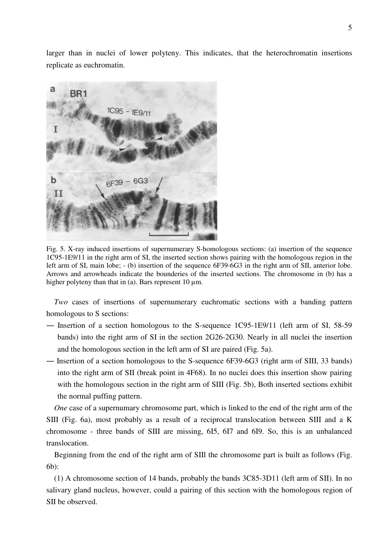larger than in nuclei of lower polyteny. This indicates, that the heterochromatin insertions replicate as euchromatin.



Fig. 5. X-ray induced insertions of supernumerary S-homologous sections: (a) insertion of the sequence 1C95-1E9/11 in the right arm of SI, the inserted section shows pairing with the homologous region in the left arm of SI, main lobe; - (b) insertion of the sequence 6F39-6G3 in the right arm of SII, anterior lobe. Arrows and arrowheads indicate the bounderies of the inserted sections. The chromosome in (b) has a higher polyteny than that in (a). Bars represent  $10 \mu m$ .

 *Two* cases of insertions of supernumerary euchromatic sections with a banding pattern homologous to S sections:

- ― Insertion of a section homologous to the S-sequence 1C95-1E9/11 (left arm of SI, 58-59 bands) into the right arm of SI in the section 2G26-2G30. Nearly in all nuclei the insertion and the homologous section in the left arm of SI are paired (Fig. 5a).
- ― Insertion of a section homologous to the S-sequence 6F39-6G3 (right arm of SIII, 33 bands) into the right arm of SII (break point in 4F68). In no nuclei does this insertion show pairing with the homologous section in the right arm of SIII (Fig. 5b), Both inserted sections exhibit the normal puffing pattern.

 *One* case of a supernumary chromosome part, which is linked to the end of the right arm of the SIII (Fig. 6a), most probably as a result of a reciprocal translocation between SIII and a K chromosome - three bands of SIII are missing, 6I5, 6I7 and 6I9. So, this is an unbalanced translocation.

 Beginning from the end of the right arm of SIIl the chromosome part is built as follows (Fig. 6b):

 (1) A chromosome section of 14 bands, probably the bands 3C85-3D11 (left arm of SII). In no salivary gland nucleus, however, could a pairing of this section with the homologous region of SII be observed.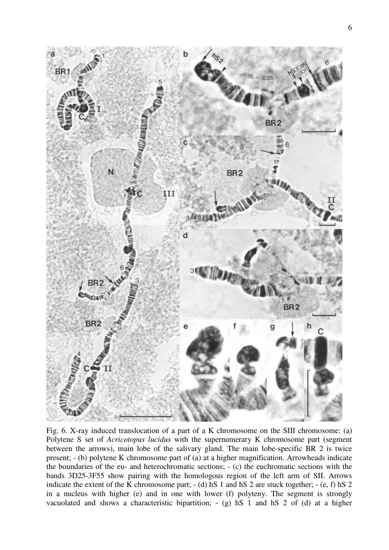

Fig. 6. X-ray induced translocation of a part of a K chromosome on the SIII chromosome: (a) Polytene S set of *Acricotopus lucidus* with the supernumerary K chromosome part (segment between the arrows), main lobe of the salivary gland. The main lobe-specific BR 2 is twice present; - (b) polytene K chromosome part of (a) at a higher magnification. Arrowheads indicate the boundaries of the eu- and heterochromatic sections; - (c) the euchromatic sections with the bands 3D25-3F55 show pairing with the homologous region of the left arm of SII. Arrows indicate the extent of the K chromosome part; - (d) hS 1 and hS 2 are stuck together; - (e, f) hS 2 in a nucleus with higher (e) and in one with lower (f) polyteny. The segment is strongly vacuolated and shows a characteristic bipartition; - (g) hS 1 and hS 2 of (d) at a higher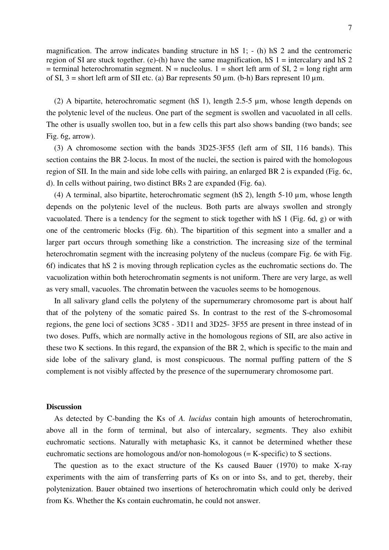magnification. The arrow indicates banding structure in hS 1; - (h) hS 2 and the centromeric region of SI are stuck together. (e)-(h) have the same magnification, hS  $1 =$  intercalary and hS  $2$  $=$  terminal heterochromatin segment. N = nucleolus. 1 = short left arm of SI, 2 = long right arm of SI,  $3 =$  short left arm of SII etc. (a) Bar represents 50  $\mu$ m. (b-h) Bars represent 10  $\mu$ m.

 (2) A bipartite, heterochromatic segment (hS 1), length 2.5-5 µm, whose length depends on the polytenic level of the nucleus. One part of the segment is swollen and vacuolated in all cells. The other is usually swollen too, but in a few cells this part also shows banding (two bands; see Fig. 6g, arrow).

 (3) A chromosome section with the bands 3D25-3F55 (left arm of SII, 116 bands). This section contains the BR 2-locus. In most of the nuclei, the section is paired with the homologous region of SII. In the main and side lobe cells with pairing, an enlarged BR 2 is expanded (Fig. 6c, d). In cells without pairing, two distinct BRs 2 are expanded (Fig. 6a).

 (4) A terminal, also bipartite, heterochromatic segment (hS 2), length 5-10 µm, whose length depends on the polytenic level of the nucleus. Both parts are always swollen and strongly vacuolated. There is a tendency for the segment to stick together with hS 1 (Fig. 6d, g) or with one of the centromeric blocks (Fig. 6h). The bipartition of this segment into a smaller and a larger part occurs through something like a constriction. The increasing size of the terminal heterochromatin segment with the increasing polyteny of the nucleus (compare Fig. 6e with Fig. 6f) indicates that hS 2 is moving through replication cycles as the euchromatic sections do. The vacuolization within both heterochromatin segments is not uniform. There are very large, as well as very small, vacuoles. The chromatin between the vacuoles seems to be homogenous.

 In all salivary gland cells the polyteny of the supernumerary chromosome part is about half that of the polyteny of the somatic paired Ss. In contrast to the rest of the S-chromosomal regions, the gene loci of sections 3C85 - 3D11 and 3D25- 3F55 are present in three instead of in two doses. Puffs, which are normally active in the homologous regions of SII, are also active in these two K sections. In this regard, the expansion of the BR 2, which is specific to the main and side lobe of the salivary gland, is most conspicuous. The normal puffing pattern of the S complement is not visibly affected by the presence of the supernumerary chromosome part.

#### **Discussion**

 As detected by C-banding the Ks of *A. lucidus* contain high amounts of heterochromatin, above all in the form of terminal, but also of intercalary, segments. They also exhibit euchromatic sections. Naturally with metaphasic Ks, it cannot be determined whether these euchromatic sections are homologous and/or non-homologous (= K-specific) to S sections.

 The question as to the exact structure of the Ks caused Bauer (1970) to make X-ray experiments with the aim of transferring parts of Ks on or into Ss, and to get, thereby, their polytenization. Bauer obtained two insertions of heterochromatin which could only be derived from Ks. Whether the Ks contain euchromatin, he could not answer.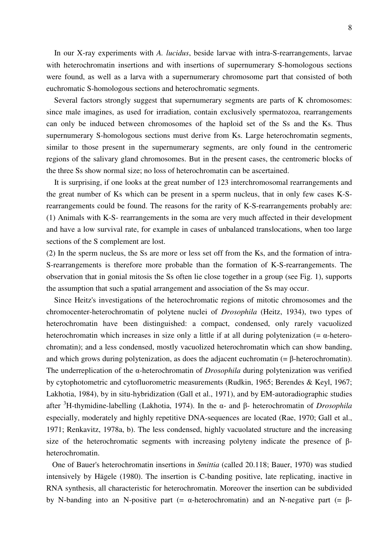In our X-ray experiments with *A. lucidus*, beside larvae with intra-S-rearrangements, larvae with heterochromatin insertions and with insertions of supernumerary S-homologous sections were found, as well as a larva with a supernumerary chromosome part that consisted of both euchromatic S-homologous sections and heterochromatic segments.

 Several factors strongly suggest that supernumerary segments are parts of K chromosomes: since male imagines, as used for irradiation, contain exclusively spermatozoa, rearrangements can only be induced between chromosomes of the haploid set of the Ss and the Ks. Thus supernumerary S-homologous sections must derive from Ks. Large heterochromatin segments, similar to those present in the supernumerary segments, are only found in the centromeric regions of the salivary gland chromosomes. But in the present cases, the centromeric blocks of the three Ss show normal size; no loss of heterochromatin can be ascertained.

 It is surprising, if one looks at the great number of 123 interchromosomal rearrangements and the great number of Ks which can be present in a sperm nucleus, that in only few cases K-Srearrangements could be found. The reasons for the rarity of K-S-rearrangements probably are: (1) Animals with K-S- rearrangements in the soma are very much affected in their development and have a low survival rate, for example in cases of unbalanced translocations, when too large sections of the S complement are lost.

(2) In the sperm nucleus, the Ss are more or less set off from the Ks, and the formation of intra-S-rearrangements is therefore more probable than the formation of K-S-rearrangements. The observation that in gonial mitosis the Ss often lie close together in a group (see Fig. 1), supports the assumption that such a spatial arrangement and association of the Ss may occur.

 Since Heitz's investigations of the heterochromatic regions of mitotic chromosomes and the chromocenter-heterochromatin of polytene nuclei of *Drosophila* (Heitz, 1934), two types of heterochromatin have been distinguished: a compact, condensed, only rarely vacuolized heterochromatin which increases in size only a little if at all during polytenization  $(=\alpha$ -heterochromatin); and a less condensed, mostly vacuolized heterochromatin which can show banding, and which grows during polytenization, as does the adjacent euchromatin  $(=\beta$ -heterochromatin). The underreplication of the α-heterochromatin of *Drosophila* during polytenization was verified by cytophotometric and cytofluorometric measurements (Rudkin, 1965; Berendes & Keyl, 1967; Lakhotia, 1984), by in situ-hybridization (Gall et al., 1971), and by EM-autoradiographic studies after <sup>3</sup>H-thymidine-labelling (Lakhotia, 1974). In the α- and β- heterochromatin of *Drosophila* especially, moderately and highly repetitive DNA-sequences are located (Rae, 1970; Gall et al., 1971; Renkavitz, 1978a, b). The less condensed, highly vacuolated structure and the increasing size of the heterochromatic segments with increasing polyteny indicate the presence of βheterochromatin.

 One of Bauer's heterochromatin insertions in *Smittia* (called 20.118; Bauer, 1970) was studied intensively by Hägele (1980). The insertion is C-banding positive, late replicating, inactive in RNA synthesis, all characteristic for heterochromatin. Moreover the insertion can be subdivided by N-banding into an N-positive part (= α-heterochromatin) and an N-negative part (= β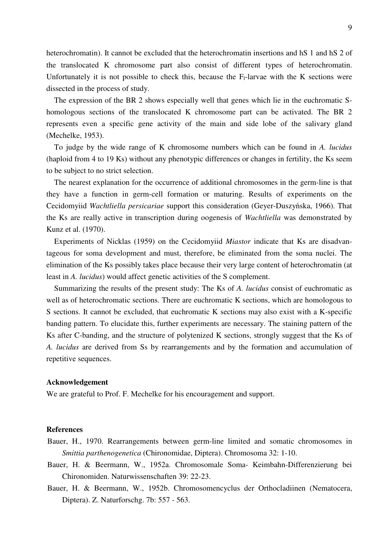heterochromatin). It cannot be excluded that the heterochromatin insertions and hS 1 and hS 2 of the translocated K chromosome part also consist of different types of heterochromatin. Unfortunately it is not possible to check this, because the  $F_1$ -larvae with the K sections were dissected in the process of study.

 The expression of the BR 2 shows especially well that genes which lie in the euchromatic Shomologous sections of the translocated K chromosome part can be activated. The BR 2 represents even a specific gene activity of the main and side lobe of the salivary gland (Mechelke, 1953).

 To judge by the wide range of K chromosome numbers which can be found in *A. lucidus* (haploid from 4 to 19 Ks) without any phenotypic differences or changes in fertility, the Ks seem to be subject to no strict selection.

 The nearest explanation for the occurrence of additional chromosomes in the germ-line is that they have a function in germ-cell formation or maturing. Results of experiments on the Cecidomyiid *Wachtliella persicariae* support this consideration (Geyer-Duszyńska, 1966). That the Ks are really active in transcription during oogenesis of *Wachtliella* was demonstrated by Kunz et al. (1970).

 Experiments of Nicklas (1959) on the Cecidomyiid *Miastor* indicate that Ks are disadvantageous for soma development and must, therefore, be eliminated from the soma nuclei. The elimination of the Ks possibly takes place because their very large content of heterochromatin (at least in *A. lucidus*) would affect genetic activities of the S complement.

 Summarizing the results of the present study: The Ks of *A. lucidus* consist of euchromatic as well as of heterochromatic sections. There are euchromatic K sections, which are homologous to S sections. It cannot be excluded, that euchromatic K sections may also exist with a K-specific banding pattern. To elucidate this, further experiments are necessary. The staining pattern of the Ks after C-banding, and the structure of polytenized K sections, strongly suggest that the Ks of *A. lucidus* are derived from Ss by rearrangements and by the formation and accumulation of repetitive sequences.

#### **Acknowledgement**

We are grateful to Prof. F. Mechelke for his encouragement and support.

### **References**

- Bauer, H., 1970. Rearrangements between germ-line limited and somatic chromosomes in *Smittia parthenogenetica* (Chironomidae, Diptera). Chromosoma 32: 1-10.
- Bauer, H. & Beermann, W., 1952a. Chromosomale Soma- Keimbahn-Differenzierung bei Chironomiden. Naturwissenschaften 39: 22-23.
- Bauer, H. & Beermann, W., 1952b. Chromosomencyclus der Orthocladiinen (Nematocera, Diptera). Z. Naturforschg. 7b: 557 - 563.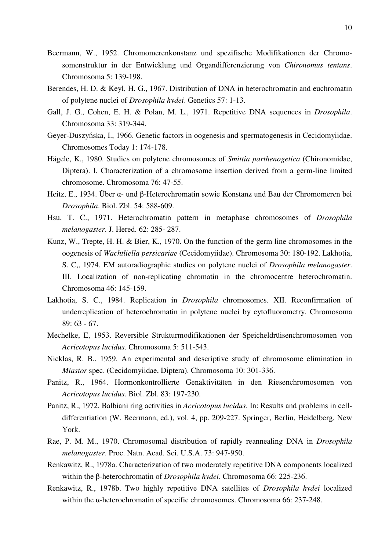- Beermann, W., 1952. Chromomerenkonstanz und spezifische Modifikationen der Chromosomenstruktur in der Entwicklung und Organdifferenzierung von *Chironomus tentans*. Chromosoma 5: 139-198.
- Berendes, H. D. & Keyl, H. G., 1967. Distribution of DNA in heterochromatin and euchromatin of polytene nuclei of *Drosophila hydei*. Genetics 57: 1-13.
- Gall, J. G., Cohen, E. H. & Polan, M. L., 1971. Repetitive DNA sequences in *Drosophila*. Chromosoma 33: 319-344.
- Geyer-Duszyńska, I., 1966. Genetic factors in oogenesis and spermatogenesis in Cecidomyiidae. Chromosomes Today 1: 174-178.
- Hägele, K., 1980. Studies on polytene chromosomes of *Smittia parthenogetica* (Chironomidae, Diptera). I. Characterization of a chromosome insertion derived from a germ-line limited chromosome. Chromosoma 76: 47-55.
- Heitz, E., 1934. Über α- und β-Heterochromatin sowie Konstanz und Bau der Chromomeren bei *Drosophila*. Biol. Zbl. 54: 588-609.
- Hsu, T. C., 1971. Heterochromatin pattern in metaphase chromosomes of *Drosophila melanogaster*. J. Hered. 62: 285- 287.
- Kunz, W., Trepte, H. H. & Bier, K., 1970. On the function of the germ line chromosomes in the oogenesis of *Wachtliella persicariae* (Cecidomyiidae). Chromosoma 30: 180-192. Lakhotia, S. C,, 1974. EM autoradiographic studies on polytene nuclei of *Drosophila melanogaster*. III. Localization of non-replicating chromatin in the chromocentre heterochromatin. Chromosoma 46: 145-159.
- Lakhotia, S. C., 1984. Replication in *Drosophila* chromosomes. XII. Reconfirmation of underreplication of heterochromatin in polytene nuclei by cytofluorometry. Chromosoma 89: 63 - 67.
- Mechelke, E, 1953. Reversible Strukturmodifikationen der Speicheldrüisenchromosomen von *Acricotopus lucidus*. Chromosoma 5: 511-543.
- Nicklas, R. B., 1959. An experimental and descriptive study of chromosome elimination in *Miastor* spec. (Cecidomyiidae, Diptera). Chromosoma 10: 301-336.
- Panitz, R., 1964. Hormonkontrollierte Genaktivitäten in den Riesenchromosomen von *Acricotopus lucidus*. Biol. Zbl. 83: 197-230.
- Panitz, R., 1972. Balbiani ring activities in *Acricotopus lucidus*. In: Results and problems in celldifferentiation (W. Beermann, ed.), vol. 4, pp. 209-227. Springer, Berlin, Heidelberg, New York.
- Rae, P. M. M., 1970. Chromosomal distribution of rapidly reannealing DNA in *Drosophila melanogaster*. Proc. Natn. Acad. Sci. U.S.A. 73: 947-950.
- Renkawitz, R., 1978a. Characterization of two moderately repetitive DNA components localized within the β-heterochromatin of *Drosophila hydei*. Chromosoma 66: 225-236.
- Renkawitz, R., 1978b. Two highly repetitive DNA satellites of *Drosophila hydei* localized within the α-heterochromatin of specific chromosomes. Chromosoma 66: 237-248.